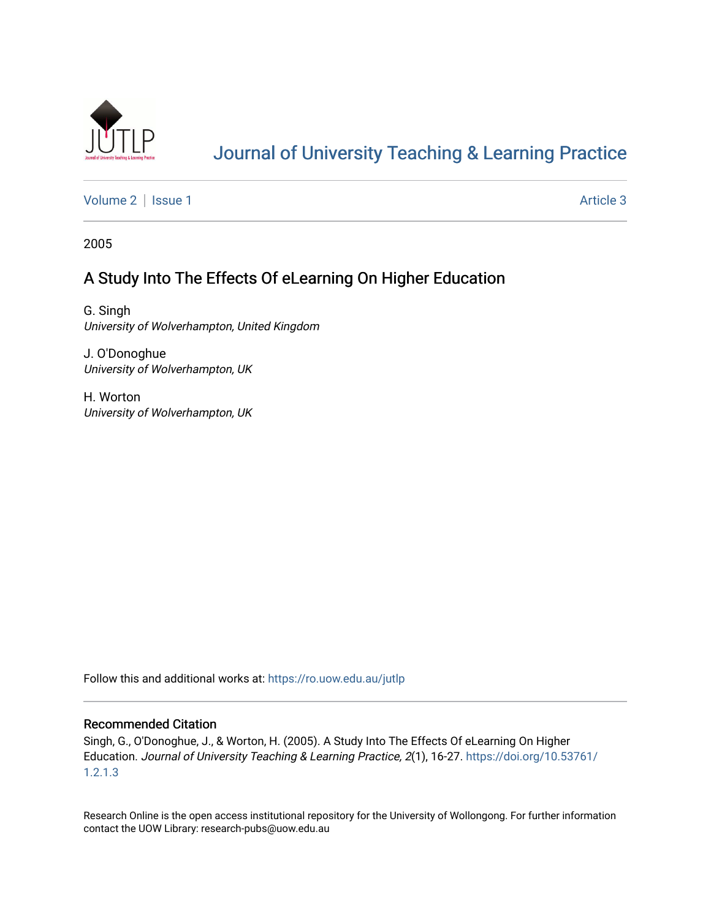

# [Journal of University Teaching & Learning Practice](https://ro.uow.edu.au/jutlp)

[Volume 2](https://ro.uow.edu.au/jutlp/vol2) | [Issue 1](https://ro.uow.edu.au/jutlp/vol2/iss1) Article 3

2005

## A Study Into The Effects Of eLearning On Higher Education

G. Singh University of Wolverhampton, United Kingdom

J. O'Donoghue University of Wolverhampton, UK

H. Worton University of Wolverhampton, UK

Follow this and additional works at: [https://ro.uow.edu.au/jutlp](https://ro.uow.edu.au/jutlp?utm_source=ro.uow.edu.au%2Fjutlp%2Fvol2%2Fiss1%2F3&utm_medium=PDF&utm_campaign=PDFCoverPages) 

#### Recommended Citation

Singh, G., O'Donoghue, J., & Worton, H. (2005). A Study Into The Effects Of eLearning On Higher Education. Journal of University Teaching & Learning Practice, 2(1), 16-27. [https://doi.org/10.53761/](https://doi.org/10.53761/1.2.1.3) [1.2.1.3](https://doi.org/10.53761/1.2.1.3)

Research Online is the open access institutional repository for the University of Wollongong. For further information contact the UOW Library: research-pubs@uow.edu.au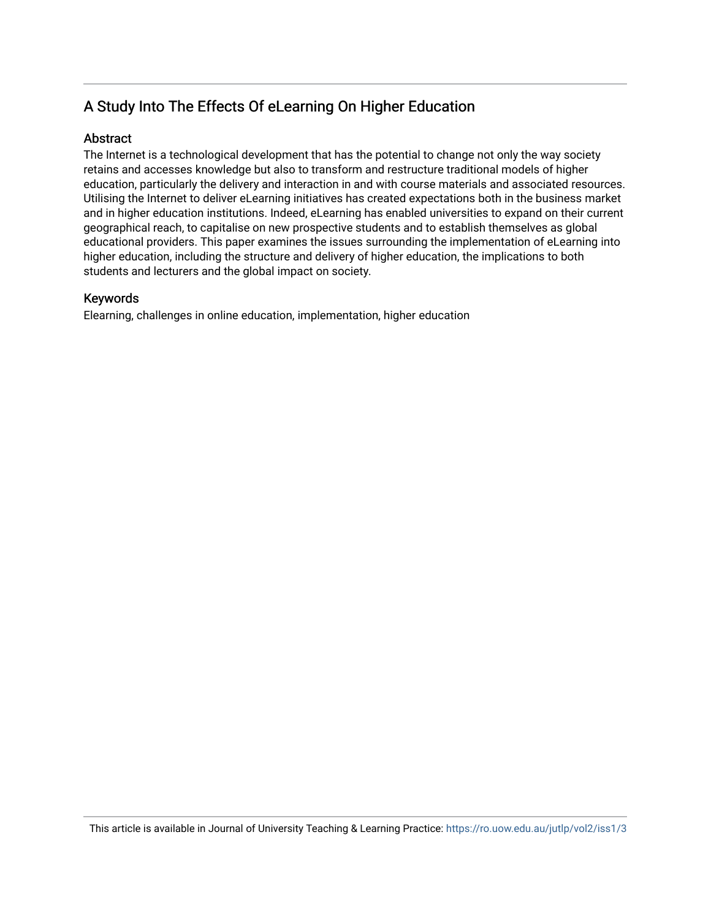## A Study Into The Effects Of eLearning On Higher Education

### **Abstract**

The Internet is a technological development that has the potential to change not only the way society retains and accesses knowledge but also to transform and restructure traditional models of higher education, particularly the delivery and interaction in and with course materials and associated resources. Utilising the Internet to deliver eLearning initiatives has created expectations both in the business market and in higher education institutions. Indeed, eLearning has enabled universities to expand on their current geographical reach, to capitalise on new prospective students and to establish themselves as global educational providers. This paper examines the issues surrounding the implementation of eLearning into higher education, including the structure and delivery of higher education, the implications to both students and lecturers and the global impact on society.

### Keywords

Elearning, challenges in online education, implementation, higher education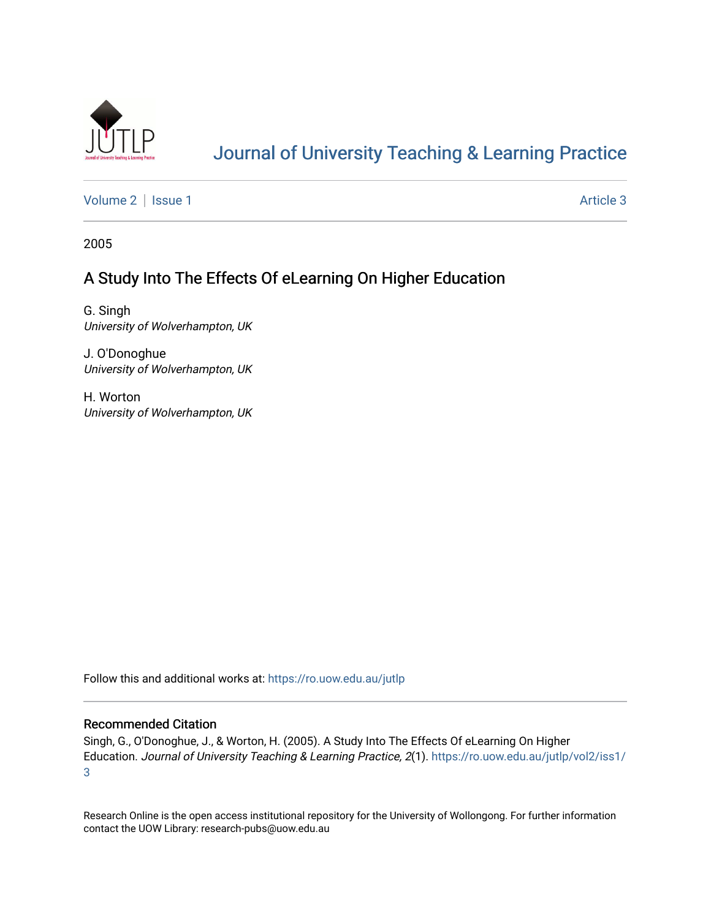

# [Journal of University Teaching & Learning Practice](https://ro.uow.edu.au/jutlp)

[Volume 2](https://ro.uow.edu.au/jutlp/vol2) | [Issue 1](https://ro.uow.edu.au/jutlp/vol2/iss1) Article 3

2005

### A Study Into The Effects Of eLearning On Higher Education

G. Singh University of Wolverhampton, UK

J. O'Donoghue University of Wolverhampton, UK

H. Worton University of Wolverhampton, UK

Follow this and additional works at: [https://ro.uow.edu.au/jutlp](https://ro.uow.edu.au/jutlp?utm_source=ro.uow.edu.au%2Fjutlp%2Fvol2%2Fiss1%2F3&utm_medium=PDF&utm_campaign=PDFCoverPages) 

#### Recommended Citation

Singh, G., O'Donoghue, J., & Worton, H. (2005). A Study Into The Effects Of eLearning On Higher Education. Journal of University Teaching & Learning Practice, 2(1). [https://ro.uow.edu.au/jutlp/vol2/iss1/](https://ro.uow.edu.au/jutlp/vol2/iss1/3?utm_source=ro.uow.edu.au%2Fjutlp%2Fvol2%2Fiss1%2F3&utm_medium=PDF&utm_campaign=PDFCoverPages) [3](https://ro.uow.edu.au/jutlp/vol2/iss1/3?utm_source=ro.uow.edu.au%2Fjutlp%2Fvol2%2Fiss1%2F3&utm_medium=PDF&utm_campaign=PDFCoverPages) 

Research Online is the open access institutional repository for the University of Wollongong. For further information contact the UOW Library: research-pubs@uow.edu.au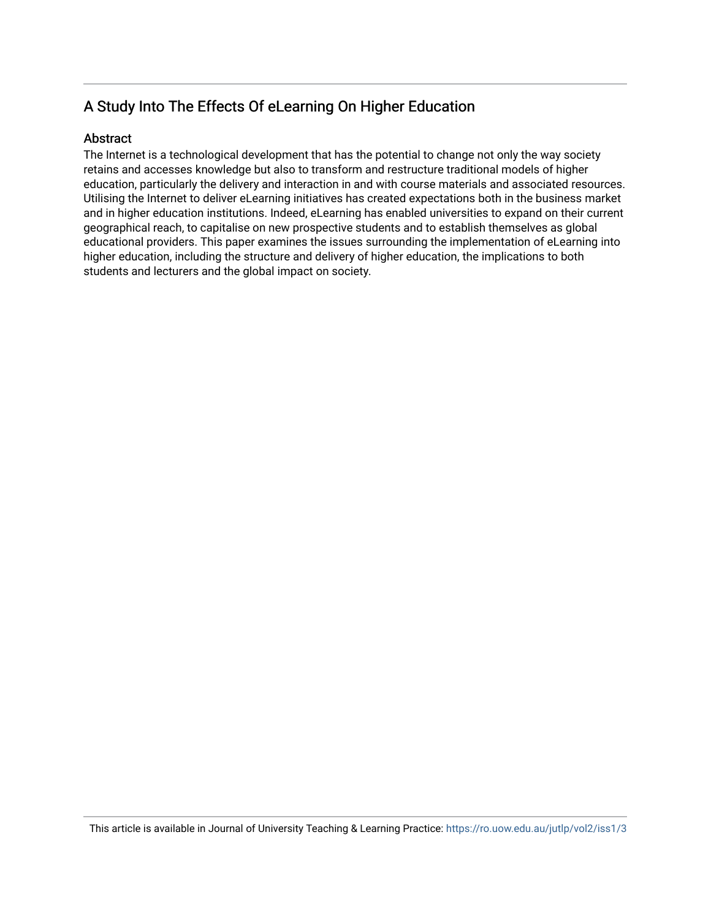## A Study Into The Effects Of eLearning On Higher Education

### **Abstract**

The Internet is a technological development that has the potential to change not only the way society retains and accesses knowledge but also to transform and restructure traditional models of higher education, particularly the delivery and interaction in and with course materials and associated resources. Utilising the Internet to deliver eLearning initiatives has created expectations both in the business market and in higher education institutions. Indeed, eLearning has enabled universities to expand on their current geographical reach, to capitalise on new prospective students and to establish themselves as global educational providers. This paper examines the issues surrounding the implementation of eLearning into higher education, including the structure and delivery of higher education, the implications to both students and lecturers and the global impact on society.

This article is available in Journal of University Teaching & Learning Practice:<https://ro.uow.edu.au/jutlp/vol2/iss1/3>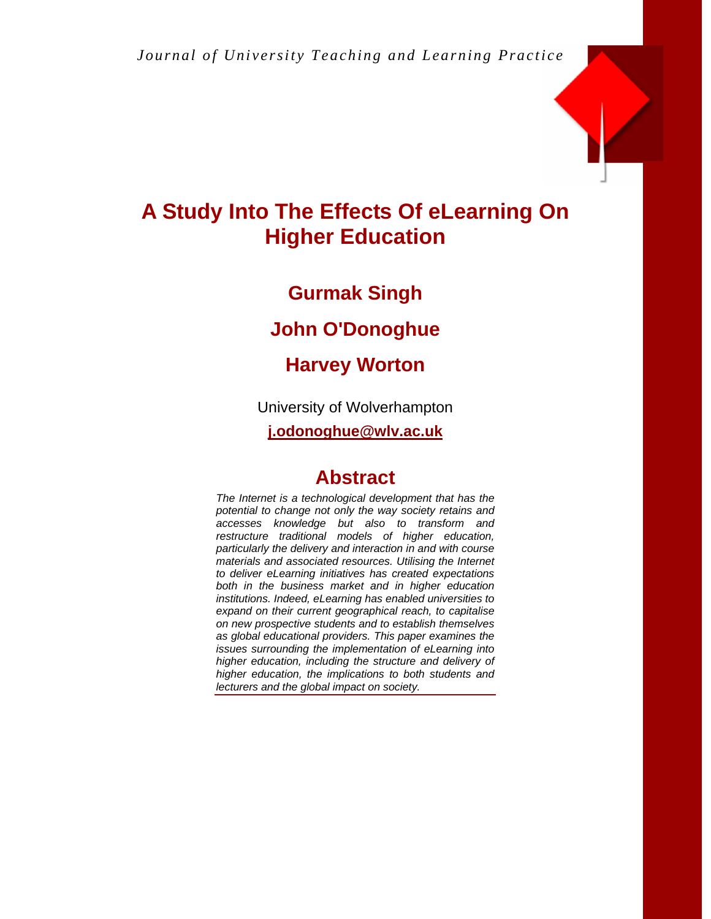

# **A Study Into The Effects Of eLearning On Higher Education**

## **Gurmak Singh**

## **John O'Donoghue**

# **Harvey Worton**

University of Wolverhampton

**j.odonoghue@wlv.ac.uk**

# **Abstract**

*The Internet is a technological development that has the potential to change not only the way society retains and accesses knowledge but also to transform and restructure traditional models of higher education, particularly the delivery and interaction in and with course materials and associated resources. Utilising the Internet to deliver eLearning initiatives has created expectations both in the business market and in higher education institutions. Indeed, eLearning has enabled universities to expand on their current geographical reach, to capitalise on new prospective students and to establish themselves as global educational providers. This paper examines the issues surrounding the implementation of eLearning into higher education, including the structure and delivery of higher education, the implications to both students and lecturers and the global impact on society.*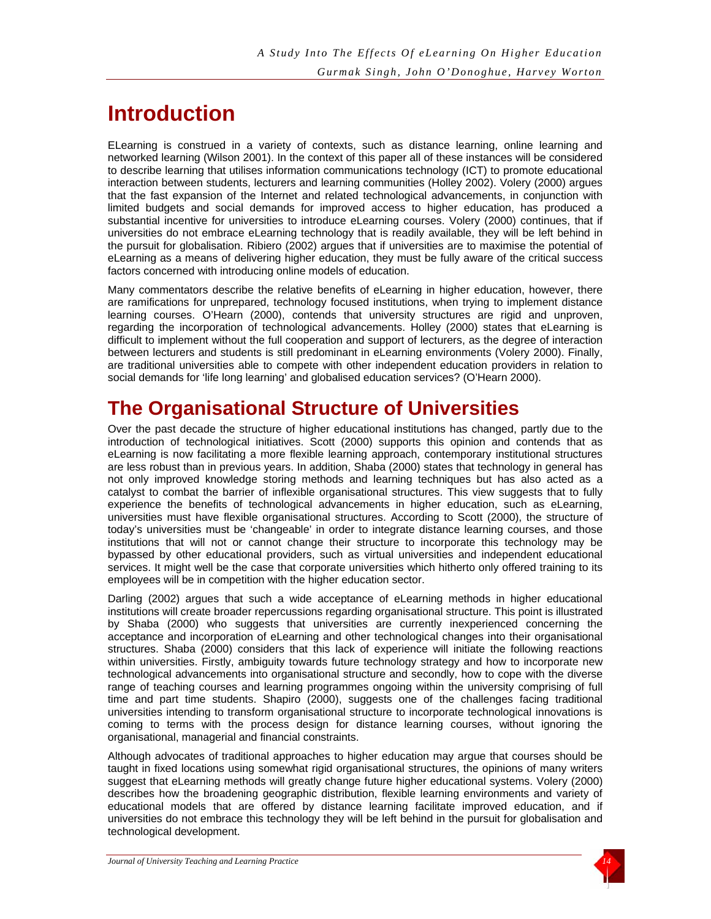# **Introduction**

ELearning is construed in a variety of contexts, such as distance learning, online learning and networked learning (Wilson 2001). In the context of this paper all of these instances will be considered to describe learning that utilises information communications technology (ICT) to promote educational interaction between students, lecturers and learning communities (Holley 2002). Volery (2000) argues that the fast expansion of the Internet and related technological advancements, in conjunction with limited budgets and social demands for improved access to higher education, has produced a substantial incentive for universities to introduce eLearning courses. Volery (2000) continues, that if universities do not embrace eLearning technology that is readily available, they will be left behind in the pursuit for globalisation. Ribiero (2002) argues that if universities are to maximise the potential of eLearning as a means of delivering higher education, they must be fully aware of the critical success factors concerned with introducing online models of education.

Many commentators describe the relative benefits of eLearning in higher education, however, there are ramifications for unprepared, technology focused institutions, when trying to implement distance learning courses. O'Hearn (2000), contends that university structures are rigid and unproven, regarding the incorporation of technological advancements. Holley (2000) states that eLearning is difficult to implement without the full cooperation and support of lecturers, as the degree of interaction between lecturers and students is still predominant in eLearning environments (Volery 2000). Finally, are traditional universities able to compete with other independent education providers in relation to social demands for 'life long learning' and globalised education services? (O'Hearn 2000).

# **The Organisational Structure of Universities**

Over the past decade the structure of higher educational institutions has changed, partly due to the introduction of technological initiatives. Scott (2000) supports this opinion and contends that as eLearning is now facilitating a more flexible learning approach, contemporary institutional structures are less robust than in previous years. In addition, Shaba (2000) states that technology in general has not only improved knowledge storing methods and learning techniques but has also acted as a catalyst to combat the barrier of inflexible organisational structures. This view suggests that to fully experience the benefits of technological advancements in higher education, such as eLearning, universities must have flexible organisational structures. According to Scott (2000), the structure of today's universities must be 'changeable' in order to integrate distance learning courses, and those institutions that will not or cannot change their structure to incorporate this technology may be bypassed by other educational providers, such as virtual universities and independent educational services. It might well be the case that corporate universities which hitherto only offered training to its employees will be in competition with the higher education sector.

Darling (2002) argues that such a wide acceptance of eLearning methods in higher educational institutions will create broader repercussions regarding organisational structure. This point is illustrated by Shaba (2000) who suggests that universities are currently inexperienced concerning the acceptance and incorporation of eLearning and other technological changes into their organisational structures. Shaba (2000) considers that this lack of experience will initiate the following reactions within universities. Firstly, ambiguity towards future technology strategy and how to incorporate new technological advancements into organisational structure and secondly, how to cope with the diverse range of teaching courses and learning programmes ongoing within the university comprising of full time and part time students. Shapiro (2000), suggests one of the challenges facing traditional universities intending to transform organisational structure to incorporate technological innovations is coming to terms with the process design for distance learning courses, without ignoring the organisational, managerial and financial constraints.

Although advocates of traditional approaches to higher education may argue that courses should be taught in fixed locations using somewhat rigid organisational structures, the opinions of many writers suggest that eLearning methods will greatly change future higher educational systems. Volery (2000) describes how the broadening geographic distribution, flexible learning environments and variety of educational models that are offered by distance learning facilitate improved education, and if universities do not embrace this technology they will be left behind in the pursuit for globalisation and technological development.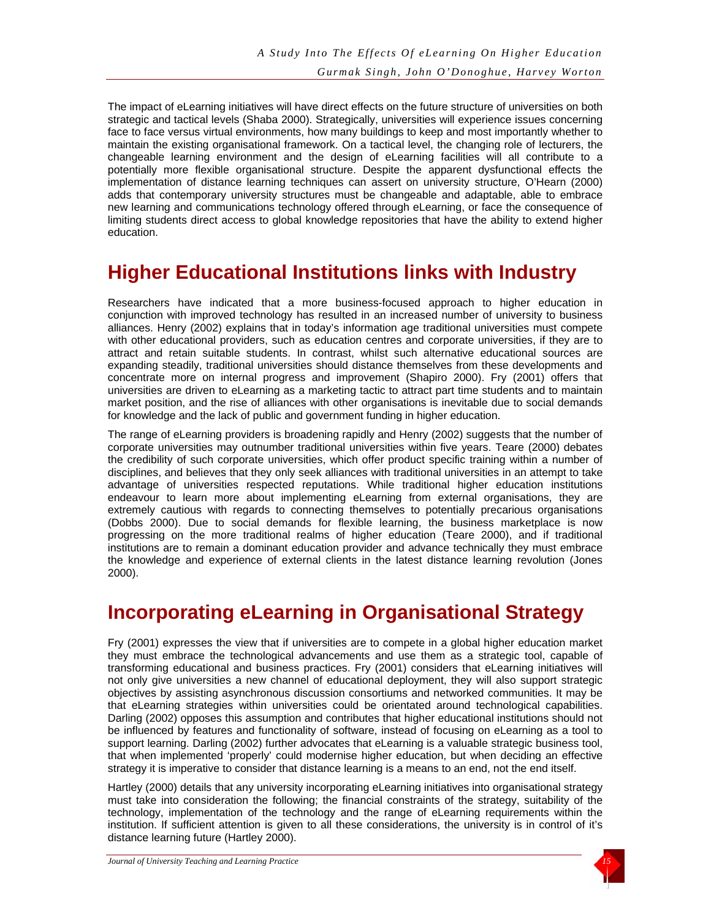The impact of eLearning initiatives will have direct effects on the future structure of universities on both strategic and tactical levels (Shaba 2000). Strategically, universities will experience issues concerning face to face versus virtual environments, how many buildings to keep and most importantly whether to maintain the existing organisational framework. On a tactical level, the changing role of lecturers, the changeable learning environment and the design of eLearning facilities will all contribute to a potentially more flexible organisational structure. Despite the apparent dysfunctional effects the implementation of distance learning techniques can assert on university structure, O'Hearn (2000) adds that contemporary university structures must be changeable and adaptable, able to embrace new learning and communications technology offered through eLearning, or face the consequence of limiting students direct access to global knowledge repositories that have the ability to extend higher education.

# **Higher Educational Institutions links with Industry**

Researchers have indicated that a more business-focused approach to higher education in conjunction with improved technology has resulted in an increased number of university to business alliances. Henry (2002) explains that in today's information age traditional universities must compete with other educational providers, such as education centres and corporate universities, if they are to attract and retain suitable students. In contrast, whilst such alternative educational sources are expanding steadily, traditional universities should distance themselves from these developments and concentrate more on internal progress and improvement (Shapiro 2000). Fry (2001) offers that universities are driven to eLearning as a marketing tactic to attract part time students and to maintain market position, and the rise of alliances with other organisations is inevitable due to social demands for knowledge and the lack of public and government funding in higher education.

The range of eLearning providers is broadening rapidly and Henry (2002) suggests that the number of corporate universities may outnumber traditional universities within five years. Teare (2000) debates the credibility of such corporate universities, which offer product specific training within a number of disciplines, and believes that they only seek alliances with traditional universities in an attempt to take advantage of universities respected reputations. While traditional higher education institutions endeavour to learn more about implementing eLearning from external organisations, they are extremely cautious with regards to connecting themselves to potentially precarious organisations (Dobbs 2000). Due to social demands for flexible learning, the business marketplace is now progressing on the more traditional realms of higher education (Teare 2000), and if traditional institutions are to remain a dominant education provider and advance technically they must embrace the knowledge and experience of external clients in the latest distance learning revolution (Jones 2000).

# **Incorporating eLearning in Organisational Strategy**

Fry (2001) expresses the view that if universities are to compete in a global higher education market they must embrace the technological advancements and use them as a strategic tool, capable of transforming educational and business practices. Fry (2001) considers that eLearning initiatives will not only give universities a new channel of educational deployment, they will also support strategic objectives by assisting asynchronous discussion consortiums and networked communities. It may be that eLearning strategies within universities could be orientated around technological capabilities. Darling (2002) opposes this assumption and contributes that higher educational institutions should not be influenced by features and functionality of software, instead of focusing on eLearning as a tool to support learning. Darling (2002) further advocates that eLearning is a valuable strategic business tool, that when implemented 'properly' could modernise higher education, but when deciding an effective strategy it is imperative to consider that distance learning is a means to an end, not the end itself.

Hartley (2000) details that any university incorporating eLearning initiatives into organisational strategy must take into consideration the following; the financial constraints of the strategy, suitability of the technology, implementation of the technology and the range of eLearning requirements within the institution. If sufficient attention is given to all these considerations, the university is in control of it's distance learning future (Hartley 2000).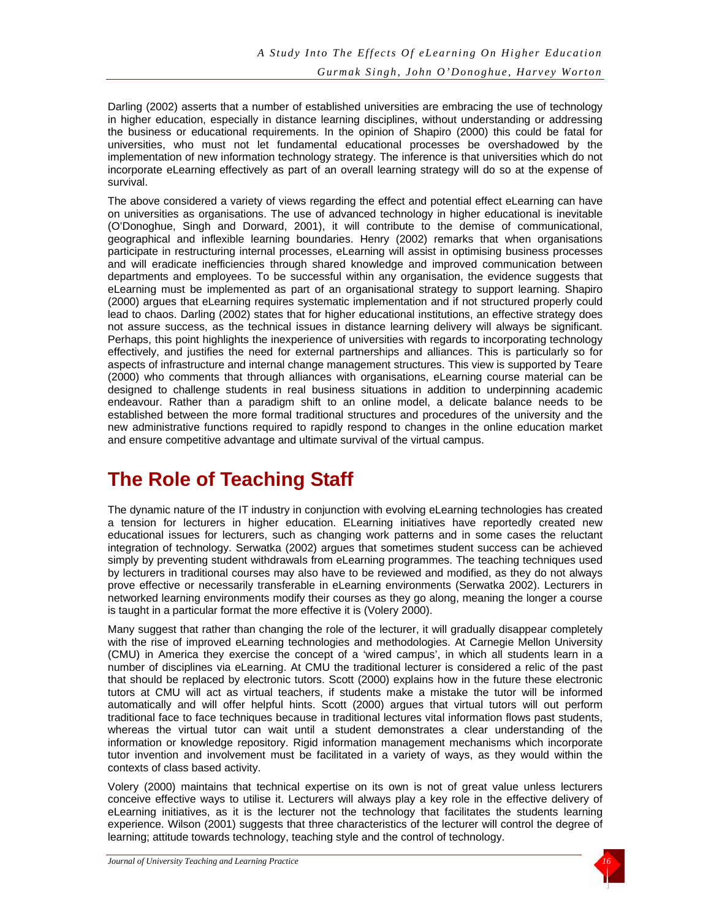Darling (2002) asserts that a number of established universities are embracing the use of technology in higher education, especially in distance learning disciplines, without understanding or addressing the business or educational requirements. In the opinion of Shapiro (2000) this could be fatal for universities, who must not let fundamental educational processes be overshadowed by the implementation of new information technology strategy. The inference is that universities which do not incorporate eLearning effectively as part of an overall learning strategy will do so at the expense of survival.

The above considered a variety of views regarding the effect and potential effect eLearning can have on universities as organisations. The use of advanced technology in higher educational is inevitable (O'Donoghue, Singh and Dorward, 2001), it will contribute to the demise of communicational, geographical and inflexible learning boundaries. Henry (2002) remarks that when organisations participate in restructuring internal processes, eLearning will assist in optimising business processes and will eradicate inefficiencies through shared knowledge and improved communication between departments and employees. To be successful within any organisation, the evidence suggests that eLearning must be implemented as part of an organisational strategy to support learning. Shapiro (2000) argues that eLearning requires systematic implementation and if not structured properly could lead to chaos. Darling (2002) states that for higher educational institutions, an effective strategy does not assure success, as the technical issues in distance learning delivery will always be significant. Perhaps, this point highlights the inexperience of universities with regards to incorporating technology effectively, and justifies the need for external partnerships and alliances. This is particularly so for aspects of infrastructure and internal change management structures. This view is supported by Teare (2000) who comments that through alliances with organisations, eLearning course material can be designed to challenge students in real business situations in addition to underpinning academic endeavour. Rather than a paradigm shift to an online model, a delicate balance needs to be established between the more formal traditional structures and procedures of the university and the new administrative functions required to rapidly respond to changes in the online education market and ensure competitive advantage and ultimate survival of the virtual campus.

# **The Role of Teaching Staff**

The dynamic nature of the IT industry in conjunction with evolving eLearning technologies has created a tension for lecturers in higher education. ELearning initiatives have reportedly created new educational issues for lecturers, such as changing work patterns and in some cases the reluctant integration of technology. Serwatka (2002) argues that sometimes student success can be achieved simply by preventing student withdrawals from eLearning programmes. The teaching techniques used by lecturers in traditional courses may also have to be reviewed and modified, as they do not always prove effective or necessarily transferable in eLearning environments (Serwatka 2002). Lecturers in networked learning environments modify their courses as they go along, meaning the longer a course is taught in a particular format the more effective it is (Volery 2000).

Many suggest that rather than changing the role of the lecturer, it will gradually disappear completely with the rise of improved eLearning technologies and methodologies. At Carnegie Mellon University (CMU) in America they exercise the concept of a 'wired campus', in which all students learn in a number of disciplines via eLearning. At CMU the traditional lecturer is considered a relic of the past that should be replaced by electronic tutors. Scott (2000) explains how in the future these electronic tutors at CMU will act as virtual teachers, if students make a mistake the tutor will be informed automatically and will offer helpful hints. Scott (2000) argues that virtual tutors will out perform traditional face to face techniques because in traditional lectures vital information flows past students, whereas the virtual tutor can wait until a student demonstrates a clear understanding of the information or knowledge repository. Rigid information management mechanisms which incorporate tutor invention and involvement must be facilitated in a variety of ways, as they would within the contexts of class based activity.

Volery (2000) maintains that technical expertise on its own is not of great value unless lecturers conceive effective ways to utilise it. Lecturers will always play a key role in the effective delivery of eLearning initiatives, as it is the lecturer not the technology that facilitates the students learning experience. Wilson (2001) suggests that three characteristics of the lecturer will control the degree of learning; attitude towards technology, teaching style and the control of technology.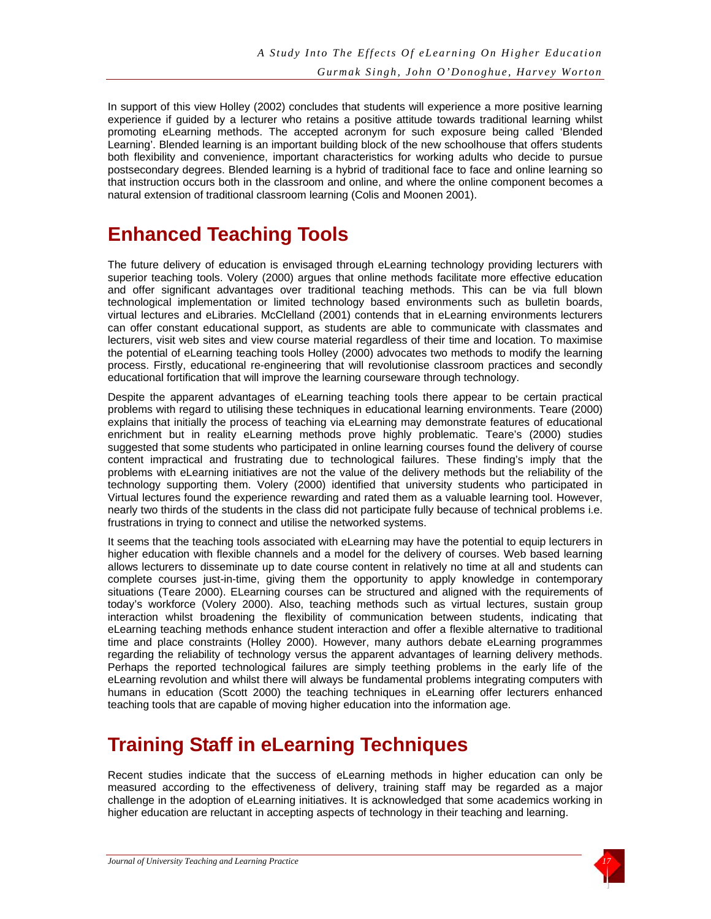In support of this view Holley (2002) concludes that students will experience a more positive learning experience if guided by a lecturer who retains a positive attitude towards traditional learning whilst promoting eLearning methods. The accepted acronym for such exposure being called 'Blended Learning'. Blended learning is an important building block of the new schoolhouse that offers students both flexibility and convenience, important characteristics for working adults who decide to pursue postsecondary degrees. Blended learning is a hybrid of traditional face to face and online learning so that instruction occurs both in the classroom and online, and where the online component becomes a natural extension of traditional classroom learning (Colis and Moonen 2001).

# **Enhanced Teaching Tools**

The future delivery of education is envisaged through eLearning technology providing lecturers with superior teaching tools. Volery (2000) argues that online methods facilitate more effective education and offer significant advantages over traditional teaching methods. This can be via full blown technological implementation or limited technology based environments such as bulletin boards, virtual lectures and eLibraries. McClelland (2001) contends that in eLearning environments lecturers can offer constant educational support, as students are able to communicate with classmates and lecturers, visit web sites and view course material regardless of their time and location. To maximise the potential of eLearning teaching tools Holley (2000) advocates two methods to modify the learning process. Firstly, educational re-engineering that will revolutionise classroom practices and secondly educational fortification that will improve the learning courseware through technology.

Despite the apparent advantages of eLearning teaching tools there appear to be certain practical problems with regard to utilising these techniques in educational learning environments. Teare (2000) explains that initially the process of teaching via eLearning may demonstrate features of educational enrichment but in reality eLearning methods prove highly problematic. Teare's (2000) studies suggested that some students who participated in online learning courses found the delivery of course content impractical and frustrating due to technological failures. These finding's imply that the problems with eLearning initiatives are not the value of the delivery methods but the reliability of the technology supporting them. Volery (2000) identified that university students who participated in Virtual lectures found the experience rewarding and rated them as a valuable learning tool. However, nearly two thirds of the students in the class did not participate fully because of technical problems i.e. frustrations in trying to connect and utilise the networked systems.

It seems that the teaching tools associated with eLearning may have the potential to equip lecturers in higher education with flexible channels and a model for the delivery of courses. Web based learning allows lecturers to disseminate up to date course content in relatively no time at all and students can complete courses just-in-time, giving them the opportunity to apply knowledge in contemporary situations (Teare 2000). ELearning courses can be structured and aligned with the requirements of today's workforce (Volery 2000). Also, teaching methods such as virtual lectures, sustain group interaction whilst broadening the flexibility of communication between students, indicating that eLearning teaching methods enhance student interaction and offer a flexible alternative to traditional time and place constraints (Holley 2000). However, many authors debate eLearning programmes regarding the reliability of technology versus the apparent advantages of learning delivery methods. Perhaps the reported technological failures are simply teething problems in the early life of the eLearning revolution and whilst there will always be fundamental problems integrating computers with humans in education (Scott 2000) the teaching techniques in eLearning offer lecturers enhanced teaching tools that are capable of moving higher education into the information age.

# **Training Staff in eLearning Techniques**

Recent studies indicate that the success of eLearning methods in higher education can only be measured according to the effectiveness of delivery, training staff may be regarded as a major challenge in the adoption of eLearning initiatives. It is acknowledged that some academics working in higher education are reluctant in accepting aspects of technology in their teaching and learning.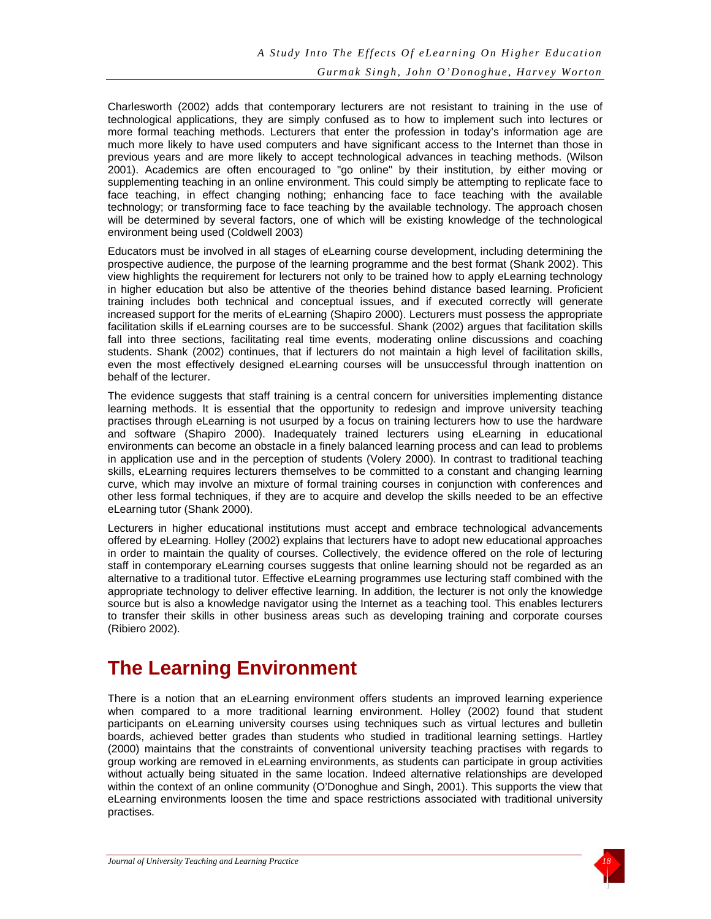Charlesworth (2002) adds that contemporary lecturers are not resistant to training in the use of technological applications, they are simply confused as to how to implement such into lectures or more formal teaching methods. Lecturers that enter the profession in today's information age are much more likely to have used computers and have significant access to the Internet than those in previous years and are more likely to accept technological advances in teaching methods. (Wilson 2001). Academics are often encouraged to "go online" by their institution, by either moving or supplementing teaching in an online environment. This could simply be attempting to replicate face to face teaching, in effect changing nothing; enhancing face to face teaching with the available technology; or transforming face to face teaching by the available technology. The approach chosen will be determined by several factors, one of which will be existing knowledge of the technological environment being used (Coldwell 2003)

Educators must be involved in all stages of eLearning course development, including determining the prospective audience, the purpose of the learning programme and the best format (Shank 2002). This view highlights the requirement for lecturers not only to be trained how to apply eLearning technology in higher education but also be attentive of the theories behind distance based learning. Proficient training includes both technical and conceptual issues, and if executed correctly will generate increased support for the merits of eLearning (Shapiro 2000). Lecturers must possess the appropriate facilitation skills if eLearning courses are to be successful. Shank (2002) argues that facilitation skills fall into three sections, facilitating real time events, moderating online discussions and coaching students. Shank (2002) continues, that if lecturers do not maintain a high level of facilitation skills, even the most effectively designed eLearning courses will be unsuccessful through inattention on behalf of the lecturer.

The evidence suggests that staff training is a central concern for universities implementing distance learning methods. It is essential that the opportunity to redesign and improve university teaching practises through eLearning is not usurped by a focus on training lecturers how to use the hardware and software (Shapiro 2000). Inadequately trained lecturers using eLearning in educational environments can become an obstacle in a finely balanced learning process and can lead to problems in application use and in the perception of students (Volery 2000). In contrast to traditional teaching skills, eLearning requires lecturers themselves to be committed to a constant and changing learning curve, which may involve an mixture of formal training courses in conjunction with conferences and other less formal techniques, if they are to acquire and develop the skills needed to be an effective eLearning tutor (Shank 2000).

Lecturers in higher educational institutions must accept and embrace technological advancements offered by eLearning. Holley (2002) explains that lecturers have to adopt new educational approaches in order to maintain the quality of courses. Collectively, the evidence offered on the role of lecturing staff in contemporary eLearning courses suggests that online learning should not be regarded as an alternative to a traditional tutor. Effective eLearning programmes use lecturing staff combined with the appropriate technology to deliver effective learning. In addition, the lecturer is not only the knowledge source but is also a knowledge navigator using the Internet as a teaching tool. This enables lecturers to transfer their skills in other business areas such as developing training and corporate courses (Ribiero 2002).

# **The Learning Environment**

There is a notion that an eLearning environment offers students an improved learning experience when compared to a more traditional learning environment. Holley (2002) found that student participants on eLearning university courses using techniques such as virtual lectures and bulletin boards, achieved better grades than students who studied in traditional learning settings. Hartley (2000) maintains that the constraints of conventional university teaching practises with regards to group working are removed in eLearning environments, as students can participate in group activities without actually being situated in the same location. Indeed alternative relationships are developed within the context of an online community (O'Donoghue and Singh, 2001). This supports the view that eLearning environments loosen the time and space restrictions associated with traditional university practises.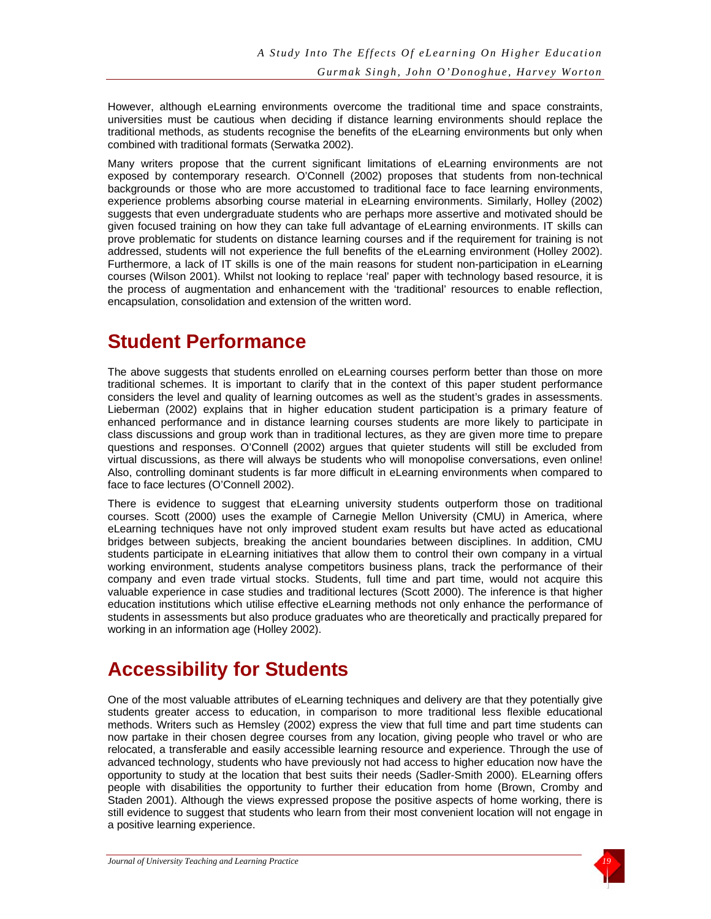However, although eLearning environments overcome the traditional time and space constraints, universities must be cautious when deciding if distance learning environments should replace the traditional methods, as students recognise the benefits of the eLearning environments but only when combined with traditional formats (Serwatka 2002).

Many writers propose that the current significant limitations of eLearning environments are not exposed by contemporary research. O'Connell (2002) proposes that students from non-technical backgrounds or those who are more accustomed to traditional face to face learning environments, experience problems absorbing course material in eLearning environments. Similarly, Holley (2002) suggests that even undergraduate students who are perhaps more assertive and motivated should be given focused training on how they can take full advantage of eLearning environments. IT skills can prove problematic for students on distance learning courses and if the requirement for training is not addressed, students will not experience the full benefits of the eLearning environment (Holley 2002). Furthermore, a lack of IT skills is one of the main reasons for student non-participation in eLearning courses (Wilson 2001). Whilst not looking to replace 'real' paper with technology based resource, it is the process of augmentation and enhancement with the 'traditional' resources to enable reflection, encapsulation, consolidation and extension of the written word.

# **Student Performance**

The above suggests that students enrolled on eLearning courses perform better than those on more traditional schemes. It is important to clarify that in the context of this paper student performance considers the level and quality of learning outcomes as well as the student's grades in assessments. Lieberman (2002) explains that in higher education student participation is a primary feature of enhanced performance and in distance learning courses students are more likely to participate in class discussions and group work than in traditional lectures, as they are given more time to prepare questions and responses. O'Connell (2002) argues that quieter students will still be excluded from virtual discussions, as there will always be students who will monopolise conversations, even online! Also, controlling dominant students is far more difficult in eLearning environments when compared to face to face lectures (O'Connell 2002).

There is evidence to suggest that eLearning university students outperform those on traditional courses. Scott (2000) uses the example of Carnegie Mellon University (CMU) in America, where eLearning techniques have not only improved student exam results but have acted as educational bridges between subjects, breaking the ancient boundaries between disciplines. In addition, CMU students participate in eLearning initiatives that allow them to control their own company in a virtual working environment, students analyse competitors business plans, track the performance of their company and even trade virtual stocks. Students, full time and part time, would not acquire this valuable experience in case studies and traditional lectures (Scott 2000). The inference is that higher education institutions which utilise effective eLearning methods not only enhance the performance of students in assessments but also produce graduates who are theoretically and practically prepared for working in an information age (Holley 2002).

# **Accessibility for Students**

One of the most valuable attributes of eLearning techniques and delivery are that they potentially give students greater access to education, in comparison to more traditional less flexible educational methods. Writers such as Hemsley (2002) express the view that full time and part time students can now partake in their chosen degree courses from any location, giving people who travel or who are relocated, a transferable and easily accessible learning resource and experience. Through the use of advanced technology, students who have previously not had access to higher education now have the opportunity to study at the location that best suits their needs (Sadler-Smith 2000). ELearning offers people with disabilities the opportunity to further their education from home (Brown, Cromby and Staden 2001). Although the views expressed propose the positive aspects of home working, there is still evidence to suggest that students who learn from their most convenient location will not engage in a positive learning experience.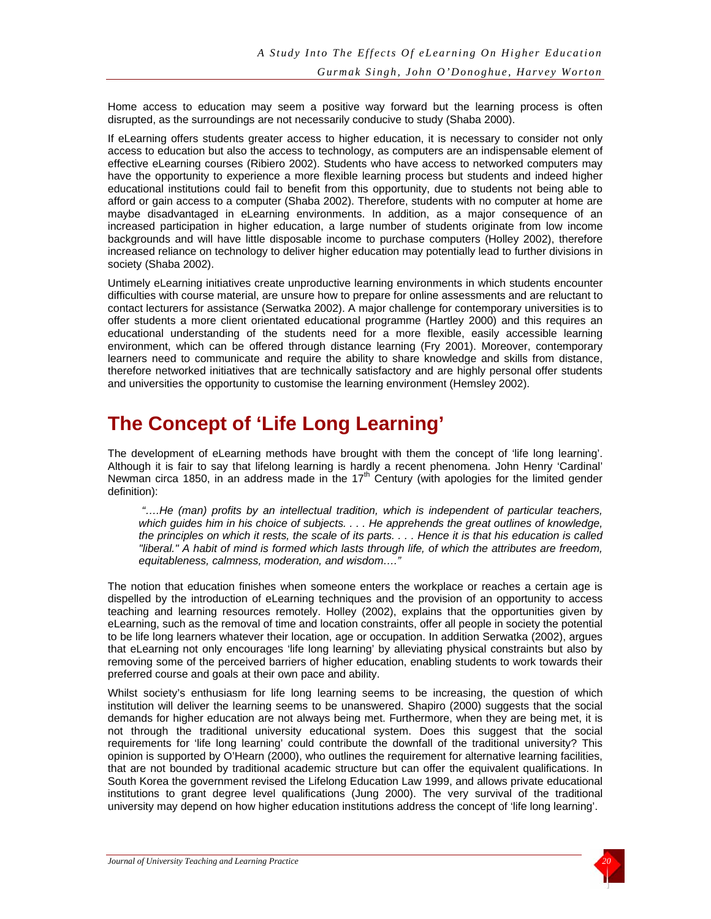Home access to education may seem a positive way forward but the learning process is often disrupted, as the surroundings are not necessarily conducive to study (Shaba 2000).

If eLearning offers students greater access to higher education, it is necessary to consider not only access to education but also the access to technology, as computers are an indispensable element of effective eLearning courses (Ribiero 2002). Students who have access to networked computers may have the opportunity to experience a more flexible learning process but students and indeed higher educational institutions could fail to benefit from this opportunity, due to students not being able to afford or gain access to a computer (Shaba 2002). Therefore, students with no computer at home are maybe disadvantaged in eLearning environments. In addition, as a major consequence of an increased participation in higher education, a large number of students originate from low income backgrounds and will have little disposable income to purchase computers (Holley 2002), therefore increased reliance on technology to deliver higher education may potentially lead to further divisions in society (Shaba 2002).

Untimely eLearning initiatives create unproductive learning environments in which students encounter difficulties with course material, are unsure how to prepare for online assessments and are reluctant to contact lecturers for assistance (Serwatka 2002). A major challenge for contemporary universities is to offer students a more client orientated educational programme (Hartley 2000) and this requires an educational understanding of the students need for a more flexible, easily accessible learning environment, which can be offered through distance learning (Fry 2001). Moreover, contemporary learners need to communicate and require the ability to share knowledge and skills from distance, therefore networked initiatives that are technically satisfactory and are highly personal offer students and universities the opportunity to customise the learning environment (Hemsley 2002).

# **The Concept of 'Life Long Learning'**

The development of eLearning methods have brought with them the concept of 'life long learning'. Although it is fair to say that lifelong learning is hardly a recent phenomena. John Henry 'Cardinal' Newman circa 1850, in an address made in the  $17<sup>th</sup>$  Century (with apologies for the limited gender definition):

 *"….He (man) profits by an intellectual tradition, which is independent of particular teachers, which guides him in his choice of subjects. . . . He apprehends the great outlines of knowledge, the principles on which it rests, the scale of its parts. . . . Hence it is that his education is called "liberal." A habit of mind is formed which lasts through life, of which the attributes are freedom, equitableness, calmness, moderation, and wisdom…."* 

The notion that education finishes when someone enters the workplace or reaches a certain age is dispelled by the introduction of eLearning techniques and the provision of an opportunity to access teaching and learning resources remotely. Holley (2002), explains that the opportunities given by eLearning, such as the removal of time and location constraints, offer all people in society the potential to be life long learners whatever their location, age or occupation. In addition Serwatka (2002), argues that eLearning not only encourages 'life long learning' by alleviating physical constraints but also by removing some of the perceived barriers of higher education, enabling students to work towards their preferred course and goals at their own pace and ability.

Whilst society's enthusiasm for life long learning seems to be increasing, the question of which institution will deliver the learning seems to be unanswered. Shapiro (2000) suggests that the social demands for higher education are not always being met. Furthermore, when they are being met, it is not through the traditional university educational system. Does this suggest that the social requirements for 'life long learning' could contribute the downfall of the traditional university? This opinion is supported by O'Hearn (2000), who outlines the requirement for alternative learning facilities, that are not bounded by traditional academic structure but can offer the equivalent qualifications. In South Korea the government revised the Lifelong Education Law 1999, and allows private educational institutions to grant degree level qualifications (Jung 2000). The very survival of the traditional university may depend on how higher education institutions address the concept of 'life long learning'.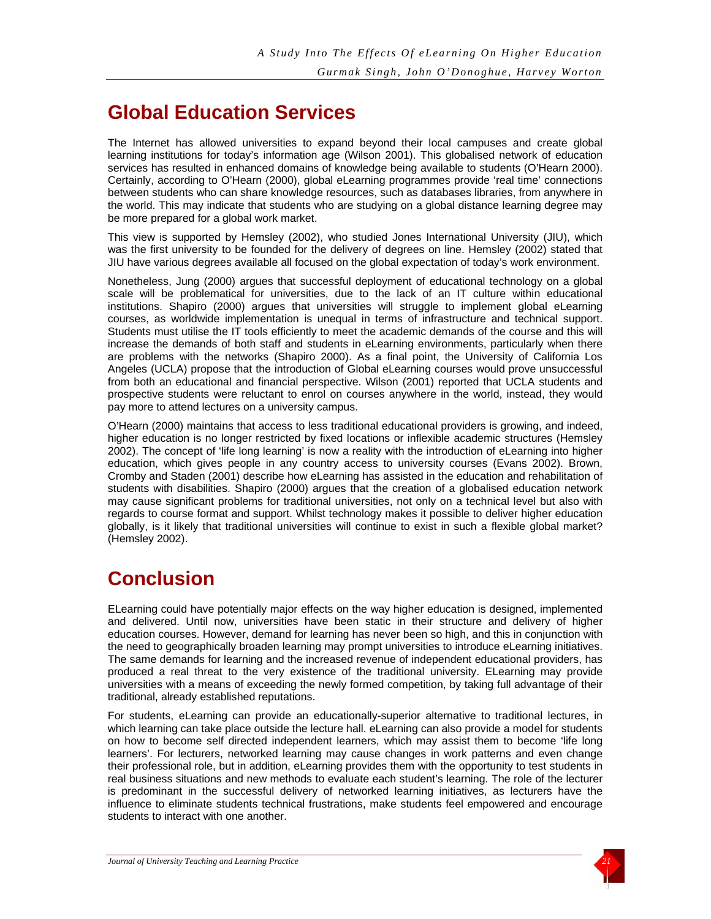# **Global Education Services**

The Internet has allowed universities to expand beyond their local campuses and create global learning institutions for today's information age (Wilson 2001). This globalised network of education services has resulted in enhanced domains of knowledge being available to students (O'Hearn 2000). Certainly, according to O'Hearn (2000), global eLearning programmes provide 'real time' connections between students who can share knowledge resources, such as databases libraries, from anywhere in the world. This may indicate that students who are studying on a global distance learning degree may be more prepared for a global work market.

This view is supported by Hemsley (2002), who studied Jones International University (JIU), which was the first university to be founded for the delivery of degrees on line. Hemsley (2002) stated that JIU have various degrees available all focused on the global expectation of today's work environment.

Nonetheless, Jung (2000) argues that successful deployment of educational technology on a global scale will be problematical for universities, due to the lack of an IT culture within educational institutions. Shapiro (2000) argues that universities will struggle to implement global eLearning courses, as worldwide implementation is unequal in terms of infrastructure and technical support. Students must utilise the IT tools efficiently to meet the academic demands of the course and this will increase the demands of both staff and students in eLearning environments, particularly when there are problems with the networks (Shapiro 2000). As a final point, the University of California Los Angeles (UCLA) propose that the introduction of Global eLearning courses would prove unsuccessful from both an educational and financial perspective. Wilson (2001) reported that UCLA students and prospective students were reluctant to enrol on courses anywhere in the world, instead, they would pay more to attend lectures on a university campus.

O'Hearn (2000) maintains that access to less traditional educational providers is growing, and indeed, higher education is no longer restricted by fixed locations or inflexible academic structures (Hemsley 2002). The concept of 'life long learning' is now a reality with the introduction of eLearning into higher education, which gives people in any country access to university courses (Evans 2002). Brown, Cromby and Staden (2001) describe how eLearning has assisted in the education and rehabilitation of students with disabilities. Shapiro (2000) argues that the creation of a globalised education network may cause significant problems for traditional universities, not only on a technical level but also with regards to course format and support. Whilst technology makes it possible to deliver higher education globally, is it likely that traditional universities will continue to exist in such a flexible global market? (Hemsley 2002).

# **Conclusion**

ELearning could have potentially major effects on the way higher education is designed, implemented and delivered. Until now, universities have been static in their structure and delivery of higher education courses. However, demand for learning has never been so high, and this in conjunction with the need to geographically broaden learning may prompt universities to introduce eLearning initiatives. The same demands for learning and the increased revenue of independent educational providers, has produced a real threat to the very existence of the traditional university. ELearning may provide universities with a means of exceeding the newly formed competition, by taking full advantage of their traditional, already established reputations.

For students, eLearning can provide an educationally-superior alternative to traditional lectures, in which learning can take place outside the lecture hall. eLearning can also provide a model for students on how to become self directed independent learners, which may assist them to become 'life long learners'. For lecturers, networked learning may cause changes in work patterns and even change their professional role, but in addition, eLearning provides them with the opportunity to test students in real business situations and new methods to evaluate each student's learning. The role of the lecturer is predominant in the successful delivery of networked learning initiatives, as lecturers have the influence to eliminate students technical frustrations, make students feel empowered and encourage students to interact with one another.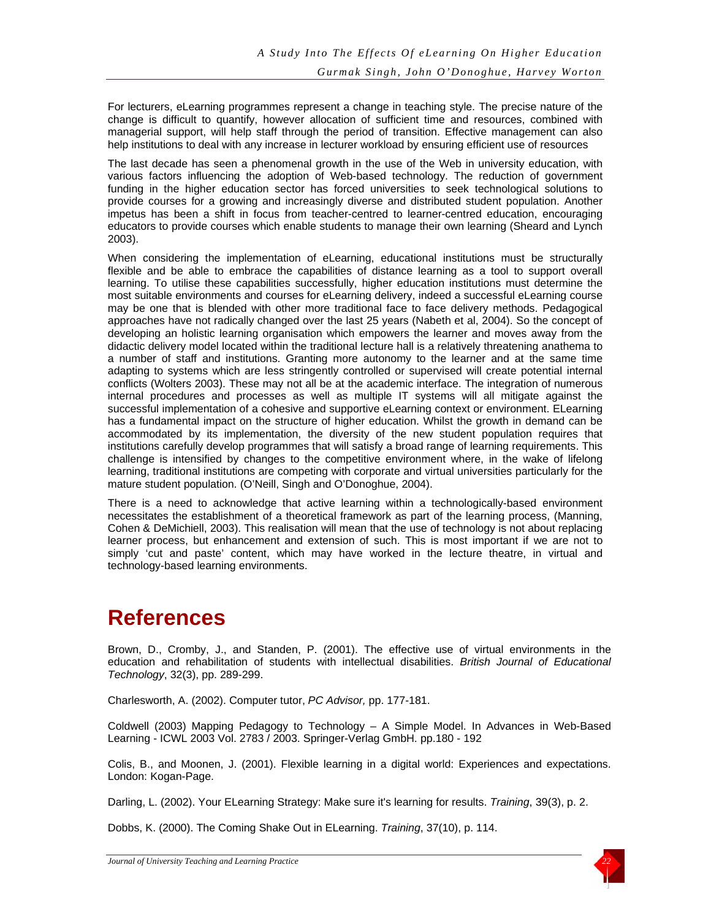For lecturers, eLearning programmes represent a change in teaching style. The precise nature of the change is difficult to quantify, however allocation of sufficient time and resources, combined with managerial support, will help staff through the period of transition. Effective management can also help institutions to deal with any increase in lecturer workload by ensuring efficient use of resources

The last decade has seen a phenomenal growth in the use of the Web in university education, with various factors influencing the adoption of Web-based technology. The reduction of government funding in the higher education sector has forced universities to seek technological solutions to provide courses for a growing and increasingly diverse and distributed student population. Another impetus has been a shift in focus from teacher-centred to learner-centred education, encouraging educators to provide courses which enable students to manage their own learning (Sheard and Lynch 2003).

When considering the implementation of eLearning, educational institutions must be structurally flexible and be able to embrace the capabilities of distance learning as a tool to support overall learning. To utilise these capabilities successfully, higher education institutions must determine the most suitable environments and courses for eLearning delivery, indeed a successful eLearning course may be one that is blended with other more traditional face to face delivery methods. Pedagogical approaches have not radically changed over the last 25 years (Nabeth et al, 2004). So the concept of developing an holistic learning organisation which empowers the learner and moves away from the didactic delivery model located within the traditional lecture hall is a relatively threatening anathema to a number of staff and institutions. Granting more autonomy to the learner and at the same time adapting to systems which are less stringently controlled or supervised will create potential internal conflicts (Wolters 2003). These may not all be at the academic interface. The integration of numerous internal procedures and processes as well as multiple IT systems will all mitigate against the successful implementation of a cohesive and supportive eLearning context or environment. ELearning has a fundamental impact on the structure of higher education. Whilst the growth in demand can be accommodated by its implementation, the diversity of the new student population requires that institutions carefully develop programmes that will satisfy a broad range of learning requirements. This challenge is intensified by changes to the competitive environment where, in the wake of lifelong learning, traditional institutions are competing with corporate and virtual universities particularly for the mature student population. (O'Neill, Singh and O'Donoghue, 2004).

There is a need to acknowledge that active learning within a technologically-based environment necessitates the establishment of a theoretical framework as part of the learning process, (Manning, Cohen & DeMichiell, 2003). This realisation will mean that the use of technology is not about replacing learner process, but enhancement and extension of such. This is most important if we are not to simply 'cut and paste' content, which may have worked in the lecture theatre, in virtual and technology-based learning environments.

# **References**

Brown, D., Cromby, J., and Standen, P. (2001). The effective use of virtual environments in the education and rehabilitation of students with intellectual disabilities. *British Journal of Educational Technology*, 32(3), pp. 289-299.

Charlesworth, A. (2002). Computer tutor, *PC Advisor,* pp. 177-181.

Coldwell (2003) Mapping Pedagogy to Technology – A Simple Model. In Advances in Web-Based Learning - ICWL 2003 Vol. 2783 / 2003. Springer-Verlag GmbH. pp.180 - 192

Colis, B., and Moonen, J. (2001). Flexible learning in a digital world: Experiences and expectations. London: Kogan-Page.

Darling, L. (2002). Your ELearning Strategy: Make sure it's learning for results. *Training*, 39(3), p. 2.

Dobbs, K. (2000). The Coming Shake Out in ELearning. *Training*, 37(10), p. 114.

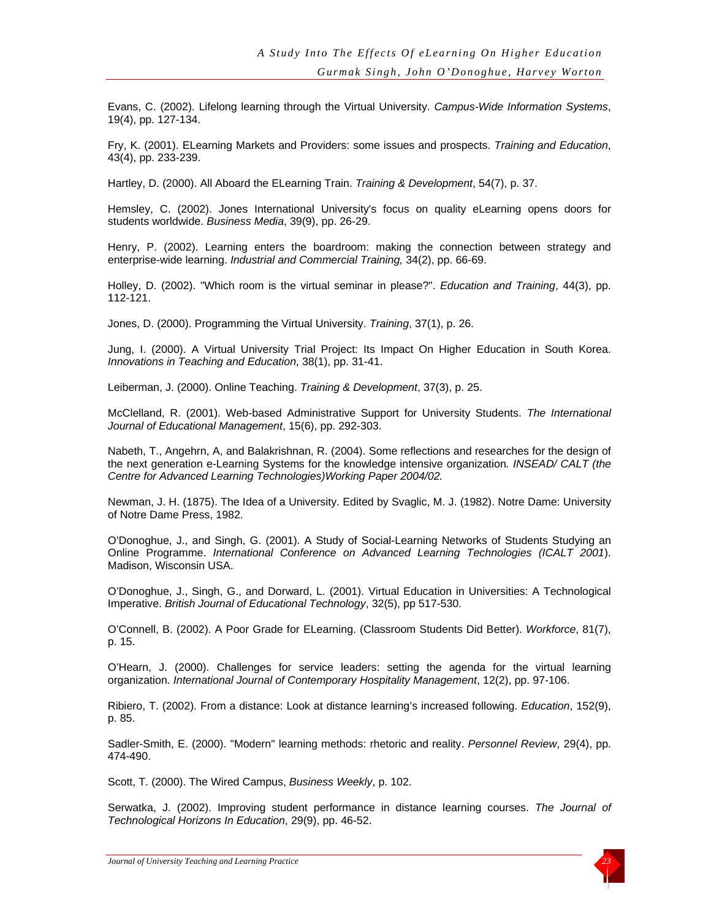Evans, C. (2002). Lifelong learning through the Virtual University. *Campus-Wide Information Systems*, 19(4), pp. 127-134.

Fry, K. (2001). ELearning Markets and Providers: some issues and prospects. *Training and Education*, 43(4), pp. 233-239.

Hartley, D. (2000). All Aboard the ELearning Train. *Training & Development*, 54(7), p. 37.

Hemsley, C. (2002). Jones International University's focus on quality eLearning opens doors for students worldwide. *Business Media*, 39(9), pp. 26-29.

Henry, P. (2002). Learning enters the boardroom: making the connection between strategy and enterprise-wide learning. *Industrial and Commercial Training,* 34(2), pp. 66-69.

Holley, D. (2002). "Which room is the virtual seminar in please?". *Education and Training*, 44(3), pp. 112-121.

Jones, D. (2000). Programming the Virtual University. *Training*, 37(1), p. 26.

Jung, I. (2000). A Virtual University Trial Project: Its Impact On Higher Education in South Korea. *Innovations in Teaching and Education*, 38(1), pp. 31-41.

Leiberman, J. (2000). Online Teaching. *Training & Development*, 37(3), p. 25.

McClelland, R. (2001). Web-based Administrative Support for University Students. *The International Journal of Educational Management*, 15(6), pp. 292-303.

Nabeth, T., Angehrn, A, and Balakrishnan, R. (2004). Some reflections and researches for the design of the next generation e-Learning Systems for the knowledge intensive organization*. INSEAD/ CALT (the Centre for Advanced Learning Technologies)Working Paper 2004/02.*

Newman, J. H. (1875). The Idea of a University. Edited by Svaglic, M. J. (1982). Notre Dame: University of Notre Dame Press, 1982.

O'Donoghue, J., and Singh, G. (2001). A Study of Social-Learning Networks of Students Studying an Online Programme. *International Conference on Advanced Learning Technologies (ICALT 2001*). Madison, Wisconsin USA.

O'Donoghue, J., Singh, G., and Dorward, L. (2001). Virtual Education in Universities: A Technological Imperative. *British Journal of Educational Technology*, 32(5), pp 517-530.

O'Connell, B. (2002). A Poor Grade for ELearning. (Classroom Students Did Better). *Workforce*, 81(7), p. 15.

O'Hearn, J. (2000). Challenges for service leaders: setting the agenda for the virtual learning organization. *International Journal of Contemporary Hospitality Management*, 12(2), pp. 97-106.

Ribiero, T. (2002). From a distance: Look at distance learning's increased following. *Education*, 152(9), p. 85.

Sadler-Smith, E. (2000). "Modern" learning methods: rhetoric and reality. *Personnel Review*, 29(4), pp. 474-490.

Scott, T. (2000). The Wired Campus, *Business Weekly*, p. 102.

Serwatka, J. (2002). Improving student performance in distance learning courses. *The Journal of Technological Horizons In Education*, 29(9), pp. 46-52.